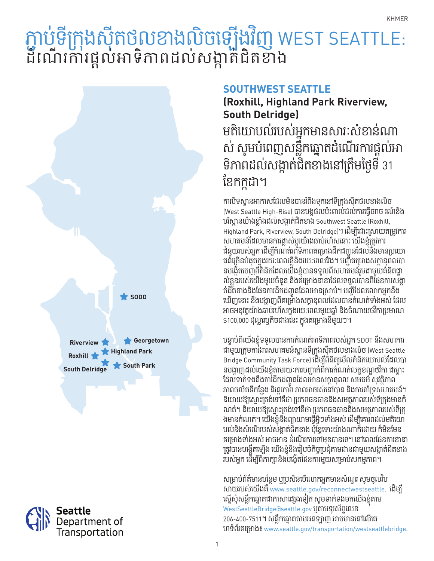## ភ្ជាប់ទក្រុងសុតថលខាងលិចទ្បេងវិញ WEST SEATTLE:<br>តំណើលលំនួនការសំណង់និគីថា៖ ើ ិ ដំណេរការផ្តល់អាទភាពដល់សង្កាត់ជិតខាង





## **SOUTHWEST SEATTLE**

# **(Roxhill, Highland Park Riverview, South Delridge)**

មតិយោបល់របស់អ្នកមានសារៈសំខាន់ណា ស សូមបំពេញសន្លុកឆ្នោតដំណេរការផ្តល់អា ទភាពដល់សង្កាត់ជិតខាងនៅត្រមថ្ងៃទ 31<br>· ខែកក្កដា។

ការបទស្ពានអាកាសដេលមនបានរពងមុកនោទក្រុងសុតចលខាងលេច (West Seattle High-Rise) បានបង្កផលប៉ះពាល់ដល់ការធ្វើចរាច រណ៍និង បរស្ិ ថា នយ៉ាងខ្លាំងដល់សង្កា ត់ជិ តខាង Southwest Seattle (Roxhill, Highland Park, Riverview, South Delridge)។ ដើ ម្បីដោះស្រាយតម្រូវការ សហគមន៍ដែលមានការធ្លាស់ប្តូរយ៉ាងឆាប់រហស្រនោះ យើងខ្ញុំត្រូវការ<br>• ជំនួយរបស់អ្នក ដើម្បីកំណត់អាទិភាពគម្រោងដឹកជញ្ជូនដែលនឹងមានប្រយោ ជនច្រើនបំផុតក្នុងរយៈពេលខ្លួនងរយៈពេលវេង។ បញ្ជីគម្រោងសក្តានុពលបា នបង្កើតចេញពិគិនតដើលយើងខ្ញុំបានទទួលពីសហគមន៍រួមជាមួយគិនតិធ្វា ល់ខ្លួនរបស់យើងមួយចំនួន និងគម្រោងនានាដែលទទួលបានពីផែនការសង្កា តជិតខាងនឹងផែនការដឹកជញ្ជូនដែលមានស្រាប់។ បញ្ជីដែលលោកអ្នកនឹង ឃេញនោះ និងបង្ហាញពីគម្រោងសក្តានុពលដែលបានកំណត់ទាំងអស់ ដែល អាចអនុវត្តយ៉ាងឆាប់រហសក្នុងរយៈពេលមួយឆ្នាំ និងចំណាយថវកាប្រមាណ \$100,000 ដុល្លារឬតិ ចជាងនេះ ក្នុងគម្រោងនី មួយៗ។

បន្ទាប់ពីយើងខ្ញុំទទួលបានការកំណត់អាទិភាពរបស់អ្នក SDOT និងសហការ ជាមួយក្រុមការងារសហគមនស្ពានទីក្រុងស៊ុតថលខាងលិច (West Seattle Bridge Community Task Force) ដើម្បីពិនិត្យមើលគំនិតយោបល់ដែលបា នបង្ហាញដល់យើងខ្ញុំតាមរយៈការបញ្ជាកពការកំណត់លក្ខខណ្ឌថវកា ជម្លេ ដែលទាក់ទងនឹងការដឹកជញ្ជូនដែលមានសក្តានុពល សមធម៌ សុវត្ថិភា ភាពចល័តទីកន្លែង នរន្តរភាព ភាពអាចរស់នៅបាន និងការគាំទ្រសហគមន៍។ និយាយខ្យស្មោះត្រង់ទៅគឺថា ប្រភពធនធាននិងសមត្ថភាពរបស់ទីក្រុងមានក ណត់។ និយាយឱ្យស្មោះត្រង់ទៅគឺថា ប្រភពធនធាននិងសមត្ថភាពរបស់ទក្រុ ងមានកំណត់។ យើងខ្ញុំនឹងព្យាយាមធ្វើអ្វីៗមាងអស់ ដើម្បីគោរពដល់មតិយោ បល់និងសំណេរបស់សង្កាត់ជិតខាង ប៉ុន្តែទោះយ៉ាងណាក៏ដោយ ក៏មន់មេន គម្រោងទាំងអស់ អាចមាន ដំណេរការទោមខបានទេ។ នៅពេលផែនការនា ត្រូវបានបង្កេតឡេង យេងខ្ញុំនងរេប្រចកច្ចប្រជុតាមដានជាមួយសង្កាតជតខាង របស់អ្នក ដេម្បីពិភាក្សានិងបង្កេតផៃនការមួយសម្រាប់សកម្មភាព។

សម្រាប់ព័ត៌មានបន្ថែម ឬប្រសិនបើលោកអ្នកមានសំណួរ សូមចូលរប សាយរបស់យើ ងគឺwww.seattle.gov/reconnectwestseattle. ដើ ម្បី ស្នេសុំសន្លុកឆ្នោតជាភាសាផ្សេងទៀត សូមទាក់ទងមកយើងខ្ញុំតាម WestSeattleBridge@seattle.gov ឬតាមទូរស័ព្ទលេខ 206-400-7511។ សន្លឹ កឆ្នោតតាមអនឡាញ អាចមាននៅលើគេ ហទំព័រគម្រោង៖ www.seattle.gov/transportation/westseattlebridge.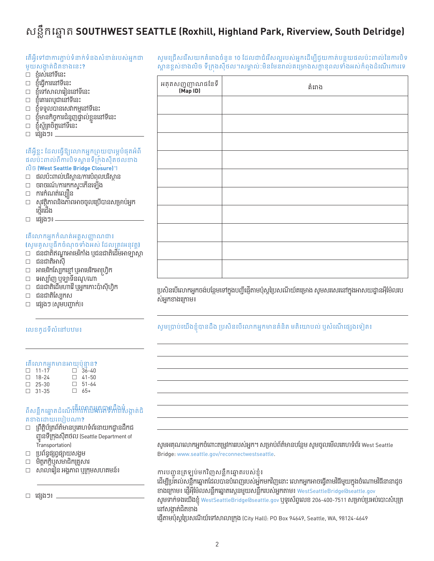# សន្លឹកឆ្នោត **SOUTHWEST SEATTLE (Roxhill, Highland Park, Riverview, South Delridge)**

| តេអ៊ូទោជាការភ្ជាប់ទំនាក់ទំនងសំខាន់របស់អ្នកជា<br>មួយសង្កាត់ជិតខាងនេះ?<br>□ ខ្ញុំរស់នៅទីនេះ |                              | សូមជ្រេសវេសយកគរោងចនួន 10 ដែលជាជវេសល្អរបស់អ្នកដេម្បីជួយកាត់បន្ថយផលបះពាលនៃការប<br>ស្ពានខ្ពស់ខាងលិច ទីក្រងស៊ីថល។សម្គាល់:មិនមែនរាល់គម្រោងសក្តានុពលទាំងអស់កំពុងដំណើរការប |
|-------------------------------------------------------------------------------------------|------------------------------|---------------------------------------------------------------------------------------------------------------------------------------------------------------------|
| ខ្ញុំធ្វើការនៅទីនេះ<br>$\Box$<br>□ ខ្ញុំទៅសាលារៀននៅទីនេះ                                  | អតុតសញ្ញញាណផនៃទី<br>(Map ID) | គំពាង                                                                                                                                                               |
| $\Box$ ខ្ញុំគោរពបូជានៅទីនេះ<br>□ ខ្ញុំទទួលបានសេវាកម្មនៅទីនេះ                              |                              |                                                                                                                                                                     |
| $\Box$ ខ្ញុំមានកិច្ចការជំនួញផ្ទាល់ខ្លួននៅទីនេះ                                            |                              |                                                                                                                                                                     |
| $\square$ ខ្ញុំស្ម័គ្រចិត្តនៅទីនេះ                                                        |                              |                                                                                                                                                                     |
| □ ជ្សេងៗ៖ <b>________</b> __                                                              |                              |                                                                                                                                                                     |
| តើអ្វីខ្លះ ដែលធ្វើឱ្យលោកអ្នកព្រយបារម្ភបំផុតអំពី                                           |                              |                                                                                                                                                                     |
| ផលប៉ះពាល់ពីការបិទស្ពានទីក្រំងស៊ីតថលខាង<br>លិច (West Seattle Bridge Closure)។              |                              |                                                                                                                                                                     |
| □ ផលប៉ះពាល់បរិស្ថាន/ការបំពុលបរិស្ថាន                                                      |                              |                                                                                                                                                                     |
| □ ចរាចរណ៍/ការកកស្ទុះកើនឡើង                                                                |                              |                                                                                                                                                                     |
| ការកំណត់ល្បឿន<br>សុវត្ថិភាពនិងភាពអាចចូលប្រើបានសម្រាប់អ្នក<br>$\Box$<br>$\Box$             |                              |                                                                                                                                                                     |
| ថ្មើរជើង                                                                                  |                              |                                                                                                                                                                     |
| □ ជ្រេងៗ៖ ———                                                                             |                              |                                                                                                                                                                     |
| តើលោកអ្នកកំណត់អត្តសញ្ញាណជា៖                                                               |                              |                                                                                                                                                                     |
| (សូមគូសឬធីកចំណុចទាំងអស់ ដែលត្រវអនុវត្ត)                                                   |                              |                                                                                                                                                                     |
| $\Box$ ជនជាតិឥណ្ឌាអាមេរិកាំង ឬជនជាតិដើមអាឡាស្កា<br>□ ជនជាតិអាស៊ី                          |                              |                                                                                                                                                                     |
| អាមេរិកស្បែកខ្មៅ ឬអាមេរិកអាហ្វ្រិក<br>$\Box$                                              |                              |                                                                                                                                                                     |
| □ អេស្ប៉ាញ ឬឡាទីនណូ/ណា                                                                    |                              |                                                                                                                                                                     |
| □ ជនជាតិដើមហាវ៉ៃ ឬអ្នកកោះប៉ាស៊ីហ្វិក                                                      |                              | ប្រសិនបើលោកអ្នកចង់បន្ថែមទៅក្នុងបញ្ជីផ្ញើតាមប៉ុស្តព្រៃសណីយ៍គម្រោង សូមសរសេរនៅក្នុងអាសយដ្ឋានអ៊ីម៉ែលរប                                                                  |

ស់អ្នកខាងក្រោម៖

ជនជាតិស្បែកស

ផ្សេងៗ (សូមបញ្ជាក)់ ៖

#### លេខកូដទីលំនៅបឋម៖

#### តើលោកអ្នកមានអាយុប៉ុន្មា ន**?**

| $\Box$ 11-17 | $\Box$ 36-40 |
|--------------|--------------|
| $\Box$ 18-24 | $\Box$ 41-50 |
| $\Box$ 25-30 | $\Box$ 51-64 |
| $\Box$ 31-35 | $\Box$ 65+   |

### តីសន្លឹកឆ្នោតដំណើរពីលោកអ្នកបានដឹងអំ<br>ពីសន្លឹកឆ្នោតដំណើរការកំណ<del>ត់</del>អាទិភាពសង្កាត់ជិ តខាងដោយរបៀបណា**?**

- ព្រឹត្តិប័ត្រព័ត៌មានឬគេហទំព័រនាយកដ្ឋា នដឹក ជ ញ្ជូនទីក្រុងស៊ីតថល (Seattle Department of Transportation)
- ប្រព័ន្ធផ្សព្វផ្សាយសង្គម
- មត្តភិ ក្តិឬសមាជិ កគ្រួសារ
- សាលារៀន អង្គភាព ឬក្រុមសហគមន៍៖

ផ្សេងៗ៖

សូមប្រាប់យេងខ្ញុំបានដង ប្រសិនបើលោកអ្នកមានគិនតិ មតិយោបល់ ឬសំណេផ្សេងទៀត៖

សូមអគុណលោកអ្នកចំពោះតម្រូវការរបស់អ្នក។ សម្រាប់ព័ត៌មានបន្ថែម សូមចូលមើលគេហទំព័រ West Seattle Bridge: www.seattle.gov/reconnectwestseattle.

## ការបញ្ជូ នត្រឡប់មកវញសន្ ិ លឹកឆ្នោតរបស់ខ្ញ ុំ៖

ដេម្បីប្រគល់សន្លុកឆ្នោតដេលបានបំពេញរបស់អ្នកមកវិញនោះ លោកអ្នកអាចធ្វើតាមវធមួយក្នុងចំណោមវធនានាដូច ខាងក្រោម៖ ផ្ញើអ៊ីម៉ែលសន្លឹកឆ្នោតស្កេនមួយសន្លឹករបស់អ្នកតាម៖ WestSeattleBridge@seattle.gov សូមទាក់ទងយើងខ្ញុំ WestSeattleBridge@seattle.gov ឬទូរស័ព្ទលេខ 206-400-7511 សម្រាប់ប្រអប់បោះសំបុត្រ នោសង្កាត់ជិតខាង

ផ្ញើ តាមប៉ុស្តប្រៃសណីយ៍ទៅសាលាក្រុង (City Hall): PO Box 94649, Seattle, WA, 98124-4649

2

សូមជ្រើសរើសយកគំរោងចំនួន 10 ដែលជាជំរើសល្អរបស់អ្នកដៃម្បីជួយកាត់បន្ថយផលប៉ះពាល់នៃការបទ ស្ពានខ្ពស់ខាងលិច ទីក្រុងស៊ីថល។សម្ពាល:មិនមេនរាល់គម្រោងសក្តានុពលទាំងអស់កំពុងដំណេរការទេ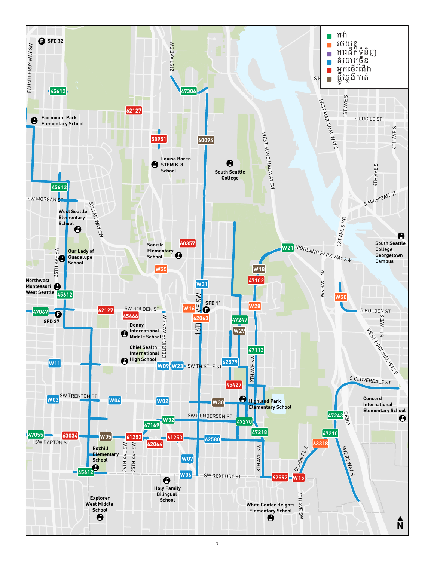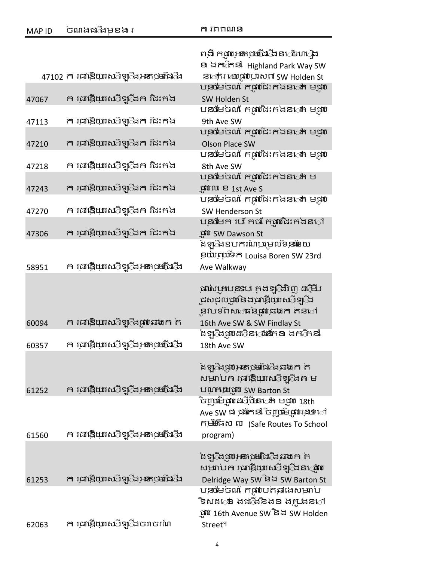| <b>MAP ID</b> | ចណងជង្វើមុខង រ                                        | ក រីពពណ៌ន                                                                                                                                      |
|---------------|-------------------------------------------------------|------------------------------------------------------------------------------------------------------------------------------------------------|
|               |                                                       | ពងី កុណ្ <b>រភេ</b> ុមជើងីងនង់ហៀង<br>ខា ងកា <sub>វិ</sub> កនាំ Highland Park Way SW                                                            |
|               | 47102 ក រុជវឌ្ឌិយាសាទ្យ្រីងរុ <del>ន</del> េះថ្មេរើជា | ន <sub>ៅ</sub> ករ ឃោជ្ញបំបុរសព SW Holden St                                                                                                    |
| 47067         | ក រជវឌ្ឌិយាសាទ្រ្រីងក រិជះកង                          | បុ <b>នថែ</b> មចណ៍ កុផ្លាំជិះកងន <b>េត</b> មុណ្ណ<br>SW Holden St                                                                               |
| 47113         | ក រុជវឌ្គិយាសាីទ្យុីងក រិជះកង                         | បុ <mark>នថែមបណី កុផ្</mark> លាជិះកងន <b>្លោះ</b> មុណ្ណ<br>9th Ave SW                                                                          |
|               | ក រុជវឌ្គិយាស្មីទ្យុដក រិជះកង                         | បុ <b>នថែ</b> មចណ៍ កុផ្លាំជិះកងន <b>ៅ ម</b> ុផ្សា                                                                                              |
| 47210         |                                                       | <b>Olson Place SW</b><br>បុ <mark>នថម</mark> ិចណី កុម្ពាំជិះកងន <b>្ទា</b> ំ មុណ្ឌ                                                             |
| 47218         | ក រជាឱ្កយាសាទ្យ្រីងក រិងះកង                           | 8th Ave SW<br>បុ <mark>ន្</mark> ធមែចណ៍ កុផ្លាំជិះកងន <b>្លេក</b> ម                                                                            |
| 47243         | ក រុជវឌ្គិយាស្មីទ្យុឹងក រិជះកង                        | ្ពុះបំណង & 1st Ave S                                                                                                                           |
| 47270         | ក រុជវឌ្គិយាស្មីទ្យុដក រិជះកង                         | បុ <b>នថែ</b> មចណ៍ កុផ្លាំជិះកងន <b>េត</b> មុណ្ណ<br>SW Henderson St                                                                            |
| 47306         | ក រុជវឌ្គិយាស្មីទ្យុដក រិជះកង                         | បន្ថងមក របរ កណ្ត័ងះកងន឴ៅ<br>្ពុវបំ SW Dawson St                                                                                                |
|               |                                                       | ំងទ្ប <b>ិ</b> ងឧបករណ៍បម្រលទិន្ននិយ                                                                                                            |
| 58951         | ក រុជវឌ្គិយាសាទ្រ្ <mark>ដ្រីអ្នកទេម</mark> ើជាដ      | eយ៎ប្រើទីក Louisa Boren SW 23rd<br>Ave Walkway                                                                                                 |
|               |                                                       | ង្កាស្សាបន្ថែម ត្តងទូទ្រីវិញ ដម្ពើប<br>ុដសជុល <b>រូវបំនិងផ្តូរខ្ញុំយូរសេ</b> រីឡ <b>ឹ</b> ង<br>ុនវបទពល <sub>់</sub> ធន៍ផ្តាច់ឆ្នោង កន <b>ៅ</b> |
| 60094         | ក រុជវឌ្គិយាសាទ្យ្រីងរូវបុរោងក ក                      | 16th Ave SW & SW Findlay St<br>ំងទ្បុឹងផ្តាំបដាំនង្រុំទោំខា ងការីកនាំ                                                                          |
| 60357         | ក រុជវឌ្គិយាស្មីឡ <b>ឹ</b> ង <del>រូន</del> ស្រេចជើង  | 18th Ave SW                                                                                                                                    |
|               |                                                       | ំងឡ <b>ី</b> ងផ្អប់ <del>នោ</del> ្រមជីងដែរជាគេ ត<br>សម្រាប់ក រុផ្សេីយុរសេីទ្រុ្តឹងត ម                                                         |
| 61252         | ក រជាឱ្កិយាស្មីទ្ប <b>ិ</b> ង <del>នោ</del> ្ថមពីជាដ  | បណ្តាយផ្តល់ SW Barton St<br>ិចញ្ញាមីថ្នាំបដីថ្មី <b>នេ</b> ៅ មុណ 18th                                                                          |
|               |                                                       | Ave SW ជា ផ្តើកនាំ ចិញ្ច្រឹម្បីប្រើនៅ<br>កម្មិរំរីផង ៣ (Safe Routes To School                                                                  |
| 61560         | ក រុជវឌ្គិយាសាទ្យ្រីងរូ <b>នេះ្</b> មេរីជាដី          | program)                                                                                                                                       |
|               |                                                       | ំងឡ <b>ី</b> ងផ្អប់ <del>នោ</del> ្រមជីងដែរជាគេ ត<br>សម្រាប់ក រុជវឌ្ឌិយាស្មីទ្រូំងន <b>្មេរ៉េប</b>                                             |
| 61253         | ក រុជវឌ្គិយាសាំទ្យុឹងរូ <del>ន</del> ោះមាជិងើង        | Delridge Way SW និង SW Barton St<br>បន្ថុច័មចណ៍ កម្ពុលបកនាងសម្រាប                                                                              |
| 62063         | ក រុជវឌ្គិយាសាទ្យ្រឹងចរាចរណ៍                          | ិទសដ <b>្ទោ ងជ</b> ្រីងនិង <b>ខ</b> ង <u>ក្ក</u> ុងនាៅ<br>.អ៊ូប៉េ 16th Avenue SW និង SW Holden<br>Street <sup>4</sup>                          |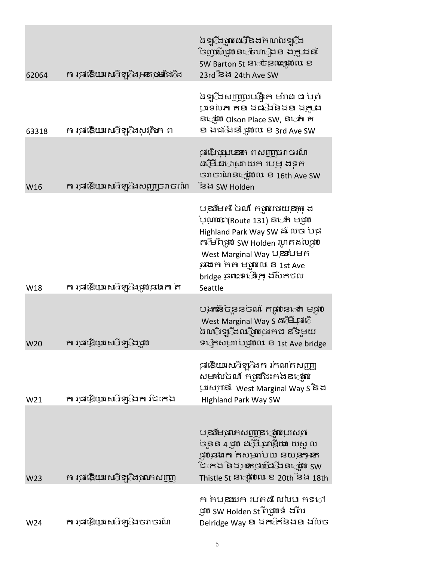| 62064 | ក រុជ <b>្រើយ្រាស</b> ីឡ <b>ឹង<del>រន</del>ិះអាជី</b> ង | ំងទ្បុឹងផ្តាំបងប៊ីនិងកំណល់ទ្បុឹង<br>ិញ្ចម្ចេងចេះចំហ <b>ុ</b> ងខ ងក្នុងនាំ<br>SW Barton St ន <b>េច</b> នុណ្ឌរូវបណ ខ<br>23rd និង 24th Ave SW                                                                                                                                              |
|-------|---------------------------------------------------------|-----------------------------------------------------------------------------------------------------------------------------------------------------------------------------------------------------------------------------------------------------------------------------------------|
| 63318 | <b>ក រុធវគ្គិយាសាីឡ</b> ឹងសុវុ <b>តិភា</b> ព            | ំងឡ <b>ឹងសញ្ញាប</b> ឋង្គិត មរ៉ាង ង បពាំ<br>ប្រទល់ក គខ ងជដែនិងខ ងក្លាង<br>ន <b>្មោះបែ Olson Place SW, ន</b> ៅកា គ<br>ខា ងជាឹងនាំ ផ្ដាំឈេ ខ 3rd Ave SW                                                                                                                                    |
| W16   | ក រជុវឌ្គិយាសាំទ្បុឹងសញ្ញាចរាចរណ៍                       | ផ្កលើចុះបុរសា ពសញ្ញាចរាចរណ៍<br>ឌ <b>៊ីមី ដ</b> ោសាយក របម ងទុក<br>ចរាចរណ៍នណ្តោល ខ 16th Ave SW<br>ិនង SW Holden                                                                                                                                                                           |
| W18   | ក រុជវឌ្គិយាសាទ្យ្រឹងផ្តាប់លោក ត                        | បុ <mark>នា</mark> មែកចំណាំ កុណ្យមេយុ <del>នុកុ</del> ង<br>៉បុណ្ណោះេា(Route 131) ន <b>េះ</b> កា មុផូប<br>Highland Park Way SW ដំលែប បង្ក<br>តារីមពីឃ្លាំប SW Holden រហូតដល់ប្លាប់<br>West Marginal Way បន្ទាប់មក<br>នាងក កក មុណលែ ខ 1st Ave<br>bridge ឆ្នាះទេើ្លមក្ម ងស៊ីតថល<br>Seattle |
| W20   | ក រជុះឱ្កយាសាទ្រុំដែល                                   | បង្កាន់បុននបណី កុណ្ <b>រ</b> េះ មុណ្<br>West Marginal Way S ដម្រើស្តី<br>ំងណាំឡាំងឈាំជាច្រកង នទីមួយ<br>ទក្រេសម្នាប់ផ្តល់ល ខ 1st Ave bridge                                                                                                                                              |
| W21   | ក រុជវឌ្គិយាស្មីទ្រុឹងក រិជះកង                          | ្រផ្រិយាស្មីទ្រូដៃកា រកណកសញ្ញា<br>ស្ <del>យរា</del> ល់ចណ័ កម្មបំដែះកងន <i>្មោះ</i> បែ<br>ប្រាសពានាំ West Marginal Way S និង<br><b>Highland Park Way SW</b>                                                                                                                              |
| W23   | ក រជាឱ្កយាសាទ្យ្រីងជាកសញ្ញា                             | បន្ទាមជាភេសញ្ញានណ្តាលដល<br>ចុនន 4 ផ្តាប់ ដម្រី <b>ចុះធ្វើយា</b> យសួល<br><mark>ផ្តាសាងកា</mark> កសម្ភាប់យា នយុ <del>ន្សានា</del><br>ិដះកង និងអ្នកប្រើជាដឹងន <b>្មើ</b> ជា SW<br>Thistle St ន <b>្តេរ៉េបែល ខ 20th</b> និង 18th                                                            |
| W24   | ក រជុវឱ្កយាសាទ្យ្រីងចរាចរណ៍                             | ក កបន្ទុយក របកដលែលប កទ្ៅ<br>ុអាប SW Holden St ពុំអ្ហាប់ទំ ងពីរ<br>Delridge Way <b>ខ</b> ងកាក់ិនិងខ ងលិច                                                                                                                                                                                 |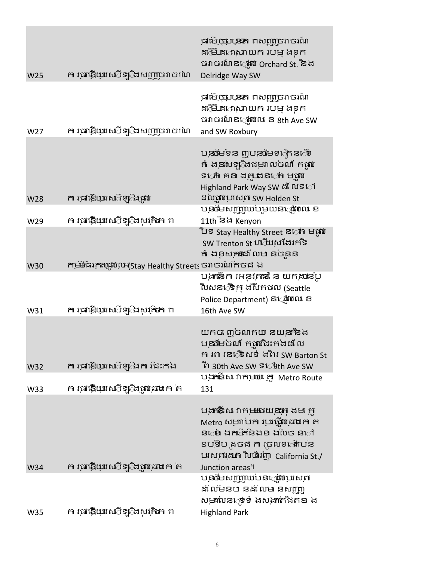| W25        | ក រជុះឱ្កយាសាទ្រូំដែសញ្ញប្ររាបរណ៍                                                                       | ធ្នូ បើចុះយុននា ពសញ្ញប្រវាចរណ៍<br>ឌ <b>៊ីមី ដ</b> ោសាយក របម ងទុក<br>ចរាចរណ៍ន <b>្ថេរ៉េប Orchard St.</b> និង<br>Delridge Way SW                                                                         |
|------------|---------------------------------------------------------------------------------------------------------|--------------------------------------------------------------------------------------------------------------------------------------------------------------------------------------------------------|
| W27        | ក រុជរម្កិយុរសើទ្រុំងសញ្ញប្រវាចរណ៍                                                                      | ធ្នូ<br>សិ <mark>ថ្មាប្រទះ</mark> ពសញ្ញប្ររាចរណ៍<br>ដម្អើដទោសាយក របម្ ងុទុក<br>ចរាចរណ៍ន <b>្ទោះលែ ខ 8th Ave SW</b><br>and SW Roxbury                                                                   |
| W28        | ក រុជវឌ្គិយាសាទ្រុឹងផ្តាប                                                                               | តំ ងុខាសទ្យុឹងជម្រាលចណ័ កុផ្លាប<br>ទ <b>ៅ គខ</b> ង <u>ក្កា</u> ងន <b>ៅ ម</b> ផ្តា<br>Highland Park Way SW ឩ ័លទ឴ៅ<br>ដល់ផ្តាប់ប្រសូក SW Holden St                                                      |
|            | <b>ក រុធវគ្គិយាសាីឡ</b> ឹងសុវុ <b>តិភា</b> ព                                                            | បន្ថុងមូលញ្ញាលបមួយនង្គ្រាល ខ<br>11th និង Kenyon                                                                                                                                                        |
| W29        |                                                                                                         | ិបទ Stay Healthy Street ន <b>េ</b> វា មណ្ឌប<br>SW Trenton St ហ៊ីយសងែរកទី<br>តំ ងខុសគនង លម នចំនួន                                                                                                       |
| W30<br>W31 | កម្មិរីនិរក្កាណូបែល។(Stay Healthy Streets ចរាចរណ៍តិចង ង<br><b>ក រុធវគ្គិយាសាីឡ</b> ឹងសុវុ <b>តិភា</b> ព | បង្កាំនិក រអនុវុកនេះ ន យកុងានបូ<br>លៃសន <b>ើ្វម</b> ុក ងស៊ីតថល (Seattle<br>Police Department) ន <b>្ថេរ៉ូវ</b> បណ ខ<br>16th Ave SW                                                                     |
| W32        | ក រជាវិដ្ឋារលើឡើងកា វិដះកង                                                                              | យកច ៣បណកយ នយុ <del>នាំ</del> និង<br>បុ <mark>ន្</mark> ធមែបណី កុណាជិះកងដលែ<br>កា រព រន <b>្ទ្រិ</b> សទំ ងពីរ SW Barton St<br>টা 30th Ave SW <sup>ទ</sup> েটth Ave SW                                   |
| W33        | ក រុជវឌ្គិយាសាទ្យ្រឹងផ្តាប់លោក ក                                                                        | បង្កាទើស វាកម្មអេ ក្លា Metro Route<br>131                                                                                                                                                              |
|            |                                                                                                         | បង្កានិសេវាកុ <u>ម</u> ឈើយុនុះកុងមា កូ<br>Metro សម្មរាប់កា ប្រវត្តិ្តបន្ថោងកា ក<br>ន <b>េ</b> ៦ ងកាំីកនិងខ ងលិច ន <b>ៅ</b><br>ឧបុទីប ឌុចង ក រុចលទង្របន<br>បុរសពរុង <b>អ</b> ាលផ្ទាំរញា California St./ |
| W34        | ក រជង្គើយាសាទ្យ្រឹងផ្តាប់ឆាក ក                                                                          | Junction areas <sup>4</sup><br>បន្ទុផ្សាយណាន្ត្រាណូបាល់<br>ឌ័ លមិនប នឌ័ លម នសញ្ញា<br>ស <del>ុយ</del> រាបន <b>្ទុទំ ងសង្កាក់ជិតខា</b> ង                                                                 |
| W35        | <b>ក រុជរឌ្គិយាសាទ្ប</b> ិងសុវុ <b>តិភា</b> ព                                                           | <b>Highland Park</b>                                                                                                                                                                                   |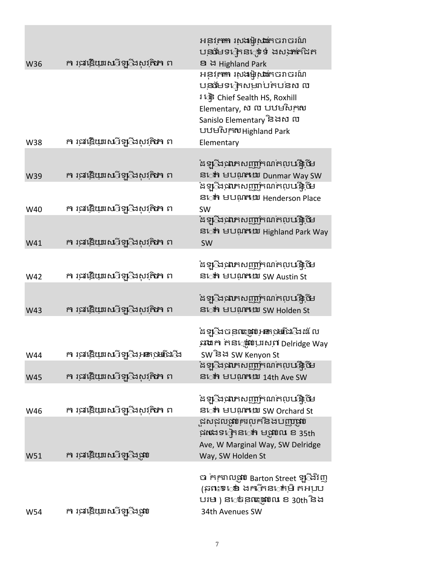|     |                                                | អនុវ <del>ុកតា</del> រសងម្សិសតែចរាចរណ៍<br>បន្ថុចមាន នេះ ទំ ងសង្កាត់ជិត            |
|-----|------------------------------------------------|-----------------------------------------------------------------------------------|
| W36 | <b>ក រុធវគ្គិយាសាទ្រ</b> ីងសុវតិ <b>ភា</b> ព   | <b>2 සි Highland Park</b>                                                         |
|     |                                                | អនុវ <del>ុណា</del> រសងម្មិសាតេចរាចរណ៍                                            |
|     |                                                | បន្ថងមទក្រេសម្នាប់តបនស ល                                                          |
|     |                                                | រ ឆ្នេំ Chief Sealth HS, Roxhill                                                  |
|     |                                                | Elementary, ស ល បឋមស <sub>ក៍</sub> ស                                              |
|     |                                                | Sanislo Elementary និងស ល                                                         |
|     |                                                | បឋមសិក្កសHighland Park                                                            |
| W38 | <b>ក រុធវគ្គិយាសាទ្រ</b> ិងសុវតិ <b>ភា</b> ព   | Elementary                                                                        |
|     |                                                |                                                                                   |
|     | <b>ក រុធវគ្គិយាសាទ្រ</b> ីងសុវតិ <b>ភា</b> ព   | ំងទ្បុឹងផាកសញ្ញាកណកលបង្កើម<br>ន <b>េ</b> ក មបណ <b>ក</b> យ Dunmar Way SW           |
| W39 |                                                | ំងឡ <b>ឹងជាភសញ្ញាំ</b> កណត់លូ <mark>បត្តិថ</mark> ៃ                               |
|     |                                                | ន <b>្លាំ</b> មបណ្ណលោ Henderson Place                                             |
| W40 | <b>ក រុធវគ្គិយាសាទ្រ</b> ិងសុវុ <b>តិភា</b> ព  | SW                                                                                |
|     |                                                | ំងឡ <b>ី</b> ងផាកសញ្ញាកណកលបត្តិថីម                                                |
|     |                                                | ន <b>េក មបណ្ដុយ</b> Highland Park Way                                             |
| W41 | <b>ក រុជរឱ្កយាសាទ្រ</b> ្តិងសុវុ <b>តិអា</b> ព | SW                                                                                |
|     |                                                |                                                                                   |
|     | <b>ក រុធវឌ្តិយាសាីឡ</b> ឹងសុវុ <b>តិភា</b> ព   | ំងឡ <b>ី</b> ងជាភសញ្ញាំកណកលបត្តិថីម                                               |
| W42 |                                                | ន <b>េត្</b> មបណ្តុយ SW Austin St                                                 |
|     |                                                | ំងឡ <b>ឹ</b> ងផាកសញ្ញាកណកលបង្កិថិម                                                |
| W43 | <b>ក រុធវគ្គិយាសាទ្រ</b> ីងសុវតិ <b>ភា</b> ព   | ន <b>េ</b> ក មបណ <b>ា</b> យ SW Holden St                                          |
|     |                                                |                                                                                   |
|     |                                                | ំងឡ <b>ុ</b> ំងចនុលះបោះអ្នោងមានីជាដែល                                             |
|     |                                                | នាងក កនណ្តាប់បាស់ពី Delridge Way                                                  |
| W44 | ក រុជវឌ្គិយាសាំទ្យុឹងរូ <b>ន</b> ស្មេរើជាឹង    | SW និង SW Kenyon St                                                               |
|     |                                                | ំងឡ <b>ឹ</b> ងផាកសញ្ញាកណកលបង្កិថិម                                                |
| W45 | <b>ក រុធវគ្គិយាសាទ្រ</b> ីងសុវតិ <b>ភា</b> ព   | ន <b>េត</b> ា មបណ្តាយ 14th Ave SW                                                 |
|     |                                                | ំងឡុំឹងផាកសញ្ញាកណកលបង្កើម                                                         |
| W46 | <b>ក រុធវគ្គិយាសាទ្រ</b> ីងសុវតិ <b>ភា</b> ព   | ន <b>េត្</b> មបណ្តុយ SW Orchard St                                                |
|     |                                                | ួដសជុលផ្លូបគ្នាលក់និងបញ្ញាផ្លូប                                                   |
|     |                                                | ផលានៅក្រន <b>ា</b> មជ្ឈល ខ 35th                                                   |
|     |                                                | Ave, W Marginal Way, SW Delridge                                                  |
| W51 | ក រជុវឱ្កយាសាទ្យុឹងផ្តាប                       | Way, SW Holden St                                                                 |
|     |                                                |                                                                                   |
|     |                                                | <b>ា</b> កក្កាលរួ <b>វ</b> ប Barton Street ឡូ៊ងវិញ<br>(ឆ្ពាះទេងេ ងកាកិនកាំមិ តអបប |
|     |                                                | បរម) ន <i>េ</i> ចនុលះឈូហេ ខ 30th និង                                              |
| W54 | ក រជវឌ្គិយាសាទ្រូដែល                           | 34th Avenues SW                                                                   |
|     |                                                |                                                                                   |